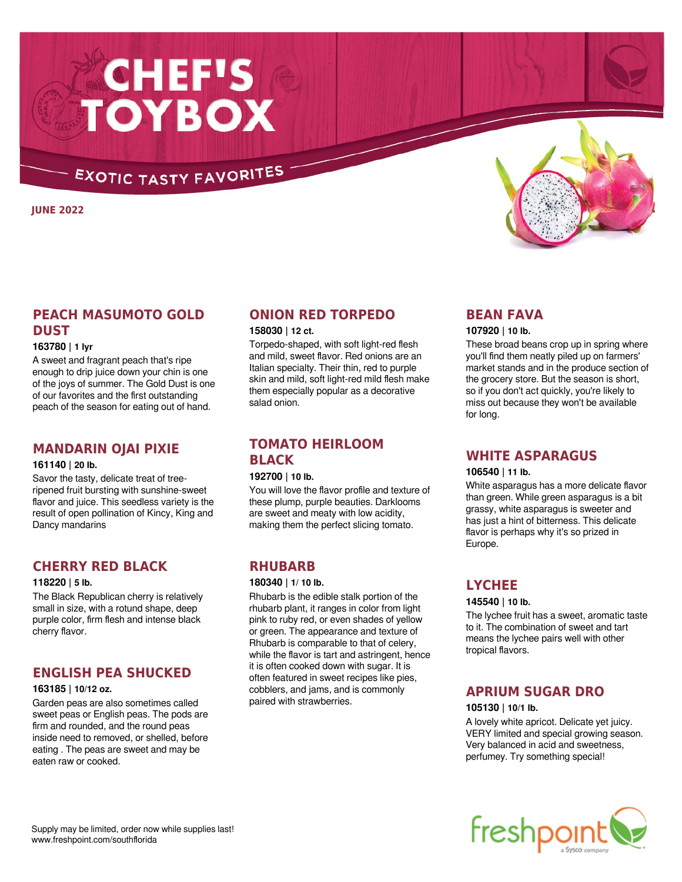# **CHEF'S<br>TOYBOX**

# **EXOTIC TASTY FAVORITES**

**JUNE 2022**

# **PEACH MASUMOTO GOLD DUST**

## **163780 | 1 lyr**

A sweet and fragrant peach that's ripe enough to drip juice down your chin is one of the joys of summer. The Gold Dust is one of our favorites and the first outstanding peach of the season for eating out of hand.

## **MANDARIN OJAI PIXIE**

## **161140 | 20 lb.**

Savor the tasty, delicate treat of treeripened fruit bursting with sunshine-sweet flavor and juice. This seedless variety is the result of open pollination of Kincy, King and Dancy mandarins

# **CHERRY RED BLACK**

#### **118220 | 5 lb.**

The Black Republican cherry is relatively small in size, with a rotund shape, deep purple color, firm flesh and intense black cherry flavor.

# **ENGLISH PEA SHUCKED**

## **163185 | 10/12 oz.**

Garden peas are also sometimes called sweet peas or English peas. The pods are firm and rounded, and the round peas inside need to removed, or shelled, before eating . The peas are sweet and may be eaten raw or cooked.

# **ONION RED TORPEDO**

## **158030 | 12 ct.**

Torpedo-shaped, with soft light-red flesh and mild, sweet flavor. Red onions are an Italian specialty. Their thin, red to purple skin and mild, soft light-red mild flesh make them especially popular as a decorative salad onion.

# **TOMATO HEIRLOOM BLACK**

## **192700 | 10 lb.**

You will love the flavor profile and texture of these plump, purple beauties. Darklooms are sweet and meaty with low acidity, making them the perfect slicing tomato.

# **RHUBARB**

#### **180340 | 1/ 10 lb.**

Rhubarb is the edible stalk portion of the rhubarb plant, it ranges in color from light pink to ruby red, or even shades of yellow or green. The appearance and texture of Rhubarb is comparable to that of celery, while the flavor is tart and astringent, hence it is often cooked down with sugar. It is often featured in sweet recipes like pies, cobblers, and jams, and is commonly paired with strawberries.

## **BEAN FAVA**

## **107920 | 10 lb.**

These broad beans crop up in spring where you'll find them neatly piled up on farmers' market stands and in the produce section of the grocery store. But the season is short, so if you don't act quickly, you're likely to miss out because they won't be available for long.

## **WHITE ASPARAGUS**

## **106540 | 11 lb.**

White asparagus has a more delicate flavor than green. While green asparagus is a bit grassy, white asparagus is sweeter and has just a hint of bitterness. This delicate flavor is perhaps why it's so prized in Europe.

## **LYCHEE**

## **145540 | 10 lb.**

The lychee fruit has a sweet, aromatic taste to it. The combination of sweet and tart means the lychee pairs well with other tropical flavors.

# **APRIUM SUGAR DRO**

## **105130 | 10/1 lb.**

A lovely white apricot. Delicate yet juicy. VERY limited and special growing season. Very balanced in acid and sweetness, perfumey. Try something special!